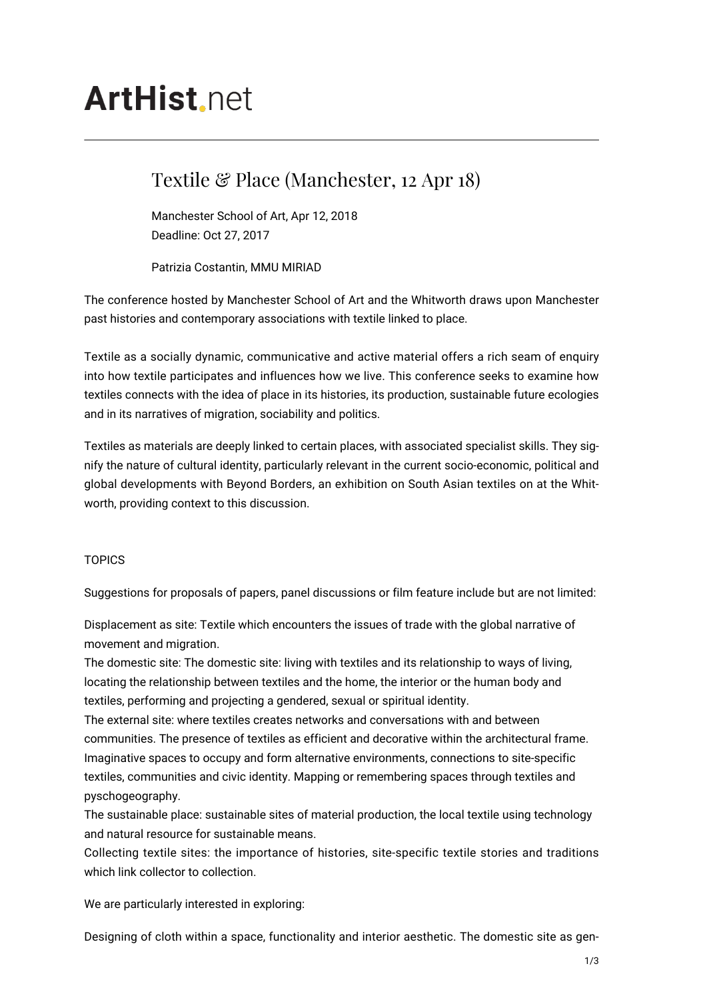# **ArtHist** net

# Textile & Place (Manchester, 12 Apr 18)

Manchester School of Art, Apr 12, 2018 Deadline: Oct 27, 2017

Patrizia Costantin, MMU MIRIAD

The conference hosted by Manchester School of Art and the Whitworth draws upon Manchester past histories and contemporary associations with textile linked to place.

Textile as a socially dynamic, communicative and active material offers a rich seam of enquiry into how textile participates and influences how we live. This conference seeks to examine how textiles connects with the idea of place in its histories, its production, sustainable future ecologies and in its narratives of migration, sociability and politics.

Textiles as materials are deeply linked to certain places, with associated specialist skills. They signify the nature of cultural identity, particularly relevant in the current socio-economic, political and global developments with Beyond Borders, an exhibition on South Asian textiles on at the Whitworth, providing context to this discussion.

## **TOPICS**

Suggestions for proposals of papers, panel discussions or film feature include but are not limited:

Displacement as site: Textile which encounters the issues of trade with the global narrative of movement and migration.

The domestic site: The domestic site: living with textiles and its relationship to ways of living, locating the relationship between textiles and the home, the interior or the human body and textiles, performing and projecting a gendered, sexual or spiritual identity.

The external site: where textiles creates networks and conversations with and between communities. The presence of textiles as efficient and decorative within the architectural frame. Imaginative spaces to occupy and form alternative environments, connections to site-specific textiles, communities and civic identity. Mapping or remembering spaces through textiles and pyschogeography.

The sustainable place: sustainable sites of material production, the local textile using technology and natural resource for sustainable means.

Collecting textile sites: the importance of histories, site-specific textile stories and traditions which link collector to collection.

We are particularly interested in exploring:

Designing of cloth within a space, functionality and interior aesthetic. The domestic site as gen-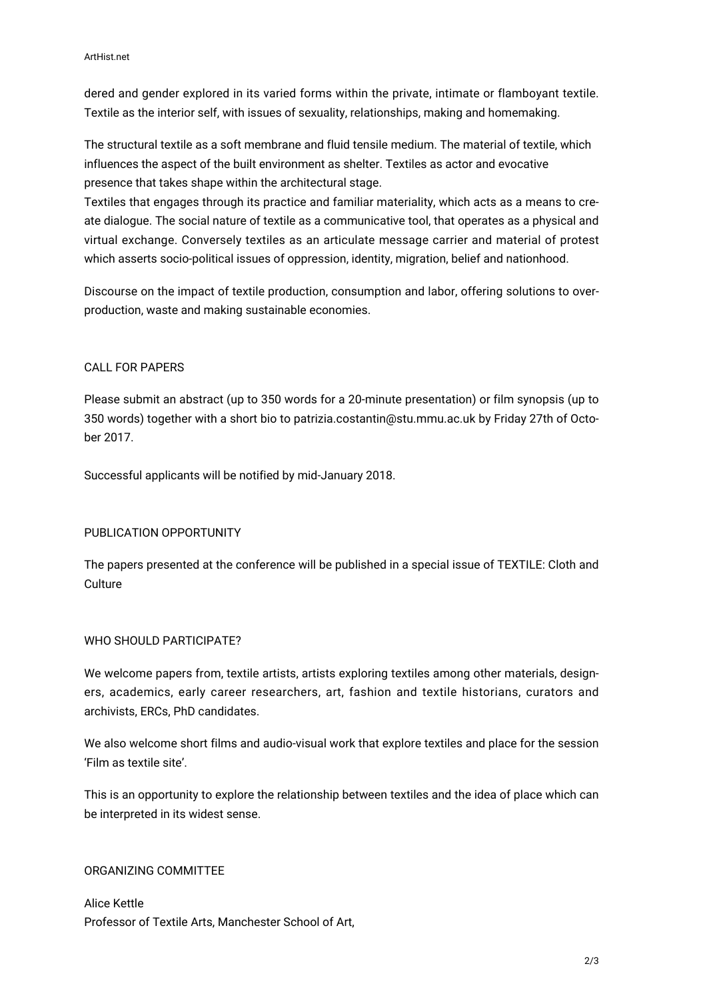dered and gender explored in its varied forms within the private, intimate or flamboyant textile. Textile as the interior self, with issues of sexuality, relationships, making and homemaking.

The structural textile as a soft membrane and fluid tensile medium. The material of textile, which influences the aspect of the built environment as shelter. Textiles as actor and evocative presence that takes shape within the architectural stage.

Textiles that engages through its practice and familiar materiality, which acts as a means to create dialogue. The social nature of textile as a communicative tool, that operates as a physical and virtual exchange. Conversely textiles as an articulate message carrier and material of protest which asserts socio-political issues of oppression, identity, migration, belief and nationhood.

Discourse on the impact of textile production, consumption and labor, offering solutions to overproduction, waste and making sustainable economies.

### CALL FOR PAPERS

Please submit an abstract (up to 350 words for a 20-minute presentation) or film synopsis (up to 350 words) together with a short bio to patrizia.costantin@stu.mmu.ac.uk by Friday 27th of October 2017.

Successful applicants will be notified by mid-January 2018.

#### PUBLICATION OPPORTUNITY

The papers presented at the conference will be published in a special issue of TEXTILE: Cloth and **Culture** 

#### WHO SHOULD PARTICIPATE?

We welcome papers from, textile artists, artists exploring textiles among other materials, designers, academics, early career researchers, art, fashion and textile historians, curators and archivists, ERCs, PhD candidates.

We also welcome short films and audio-visual work that explore textiles and place for the session 'Film as textile site'.

This is an opportunity to explore the relationship between textiles and the idea of place which can be interpreted in its widest sense.

### ORGANIZING COMMITTEE

Alice Kettle Professor of Textile Arts, Manchester School of Art,